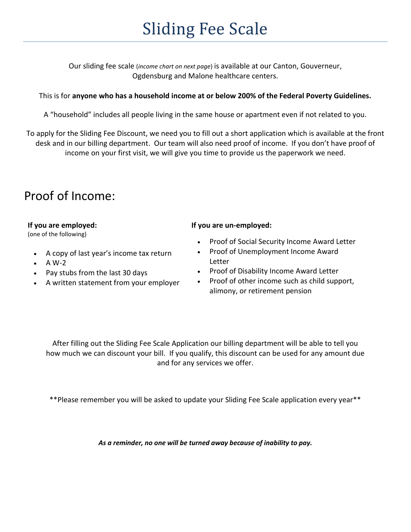# Sliding Fee Scale

Our sliding fee scale (*income chart on next page*) is available at our Canton, Gouverneur, Ogdensburg and Malone healthcare centers.

#### This is for **anyone who has a household income at or below 200% of the Federal Poverty Guidelines.**

A "household" includes all people living in the same house or apartment even if not related to you.

To apply for the Sliding Fee Discount, we need you to fill out a short application which is available at the front desk and in our billing department. Our team will also need proof of income. If you don't have proof of income on your first visit, we will give you time to provide us the paperwork we need.

## Proof of Income:

#### **If you are employed:**

(one of the following)

- A copy of last year's income tax return
- $\bullet$  A W-2
- Pay stubs from the last 30 days
- A written statement from your employer

#### **If you are un-employed:**

- Proof of Social Security Income Award Letter
- Proof of Unemployment Income Award Letter
- Proof of Disability Income Award Letter
- Proof of other income such as child support, alimony, or retirement pension

After filling out the Sliding Fee Scale Application our billing department will be able to tell you how much we can discount your bill. If you qualify, this discount can be used for any amount due and for any services we offer.

\*\*Please remember you will be asked to update your Sliding Fee Scale application every year\*\*

*As a reminder, no one will be turned away because of inability to pay.*